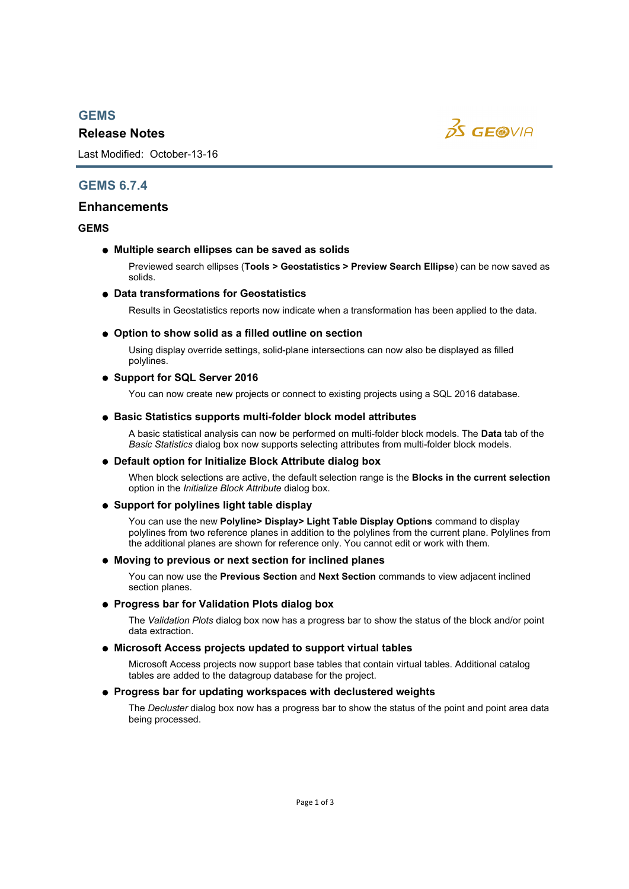# *GEMS*

# *Release Notes*



Last Modified: October-13-16

# *GEMS 6.7.4*

# *Enhancements*

# *GEMS*

# *Multiple search ellipses can be saved as solids*

Previewed search ellipses (*Tools > Geostatistics > Preview Search Ellipse*) can be now saved as solids.

# *Data transformations for Geostatistics*

Results in Geostatistics reports now indicate when a transformation has been applied to the data.

# *Option to show solid as a filled outline on section*

Using display override settings, solid-plane intersections can now also be displayed as filled polylines.

# *Support for SQL Server 2016*

You can now create new projects or connect to existing projects using a SQL 2016 database.

# *Basic Statistics supports multi-folder block model attributes*

A basic statistical analysis can now be performed on multi-folder block models. The *Data* tab of the *Basic Statistics* dialog box now supports selecting attributes from multi-folder block models.

# *Default option for Initialize Block Attribute dialog box*

When block selections are active, the default selection range is the *Blocks in the current selection* option in the *Initialize Block Attribute* dialog box.

# *Support for polylines light table display*

You can use the new *Polyline> Display> Light Table Display Options* command to display polylines from two reference planes in addition to the polylines from the current plane. Polylines from the additional planes are shown for reference only. You cannot edit or work with them.

# *Moving to previous or next section for inclined planes*

You can now use the *Previous Section* and *Next Section* commands to view adjacent inclined section planes.

# *Progress bar for Validation Plots dialog box*

The *Validation Plots* dialog box now has a progress bar to show the status of the block and/or point data extraction.

# *Microsoft Access projects updated to support virtual tables*

Microsoft Access projects now support base tables that contain virtual tables. Additional catalog tables are added to the datagroup database for the project.

# *Progress bar for updating workspaces with declustered weights*

The *Decluster* dialog box now has a progress bar to show the status of the point and point area data being processed.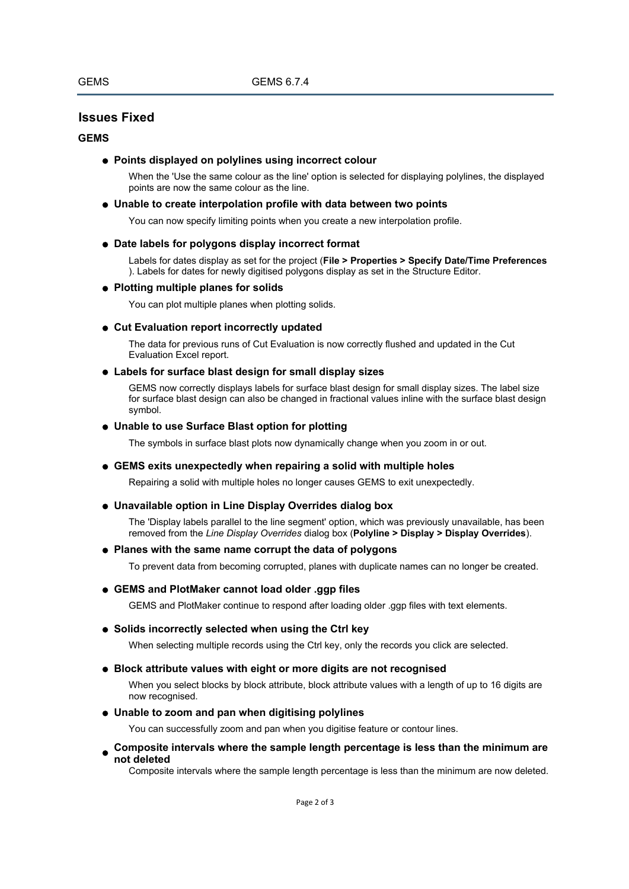# *Issues Fixed*

### *GEMS*

# *Points displayed on polylines using incorrect colour*

When the 'Use the same colour as the line' option is selected for displaying polylines, the displayed points are now the same colour as the line.

#### *Unable to create interpolation profile with data between two points*

You can now specify limiting points when you create a new interpolation profile.

# *Date labels for polygons display incorrect format*

Labels for dates display as set for the project (*File > Properties > Specify Date/Time Preferences* ). Labels for dates for newly digitised polygons display as set in the Structure Editor.

### *Plotting multiple planes for solids*

You can plot multiple planes when plotting solids.

### *Cut Evaluation report incorrectly updated*

The data for previous runs of Cut Evaluation is now correctly flushed and updated in the Cut Evaluation Excel report.

#### *Labels for surface blast design for small display sizes*

GEMS now correctly displays labels for surface blast design for small display sizes. The label size for surface blast design can also be changed in fractional values inline with the surface blast design symbol.

#### *Unable to use Surface Blast option for plotting*

The symbols in surface blast plots now dynamically change when you zoom in or out.

#### *GEMS exits unexpectedly when repairing a solid with multiple holes*

Repairing a solid with multiple holes no longer causes GEMS to exit unexpectedly.

#### *Unavailable option in Line Display Overrides dialog box*

The 'Display labels parallel to the line segment' option, which was previously unavailable, has been removed from the *Line Display Overrides* dialog box (*Polyline > Display > Display Overrides*).

### *Planes with the same name corrupt the data of polygons*

To prevent data from becoming corrupted, planes with duplicate names can no longer be created.

#### *GEMS and PlotMaker cannot load older .ggp files*

GEMS and PlotMaker continue to respond after loading older .ggp files with text elements.

# *Solids incorrectly selected when using the Ctrl key*

When selecting multiple records using the Ctrl key, only the records you click are selected.

# *Block attribute values with eight or more digits are not recognised*

When you select blocks by block attribute, block attribute values with a length of up to 16 digits are now recognised.

# *Unable to zoom and pan when digitising polylines*

You can successfully zoom and pan when you digitise feature or contour lines.

### *Composite intervals where the sample length percentage is less than the minimum are not deleted*

Composite intervals where the sample length percentage is less than the minimum are now deleted.